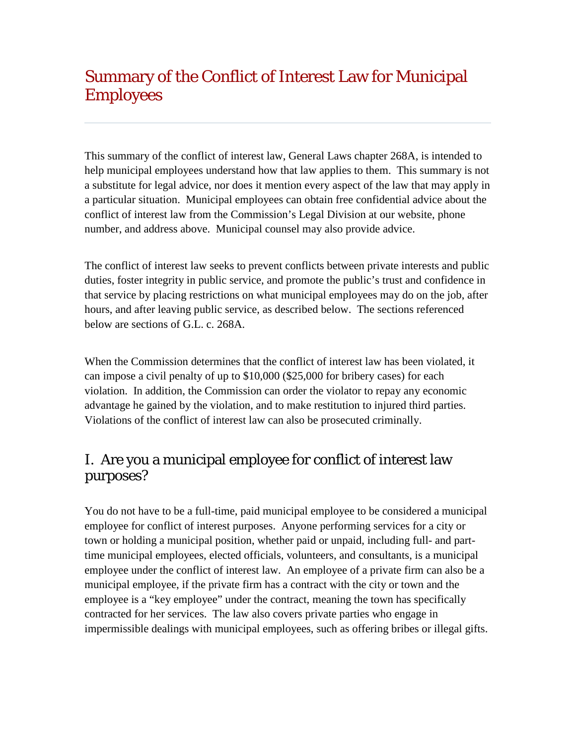# Summary of the Conflict of Interest Law for Municipal Employees

This summary of the conflict of interest law, General Laws chapter 268A, is intended to help municipal employees understand how that law applies to them. This summary is not a substitute for legal advice, nor does it mention every aspect of the law that may apply in a particular situation. Municipal employees can obtain free confidential advice about the conflict of interest law from the Commission's Legal Division at our website, phone number, and address above. Municipal counsel may also provide advice.

The conflict of interest law seeks to prevent conflicts between private interests and public duties, foster integrity in public service, and promote the public's trust and confidence in that service by placing restrictions on what municipal employees may do on the job, after hours, and after leaving public service, as described below. The sections referenced below are sections of G.L. c. 268A.

When the Commission determines that the conflict of interest law has been violated, it can impose a civil penalty of up to \$10,000 (\$25,000 for bribery cases) for each violation. In addition, the Commission can order the violator to repay any economic advantage he gained by the violation, and to make restitution to injured third parties. Violations of the conflict of interest law can also be prosecuted criminally.

# I. Are you a municipal employee for conflict of interest law purposes?

You do not have to be a full-time, paid municipal employee to be considered a municipal employee for conflict of interest purposes. Anyone performing services for a city or town or holding a municipal position, whether paid or unpaid, including full- and parttime municipal employees, elected officials, volunteers, and consultants, is a municipal employee under the conflict of interest law. An employee of a private firm can also be a municipal employee, if the private firm has a contract with the city or town and the employee is a "key employee" under the contract, meaning the town has specifically contracted for her services. The law also covers private parties who engage in impermissible dealings with municipal employees, such as offering bribes or illegal gifts.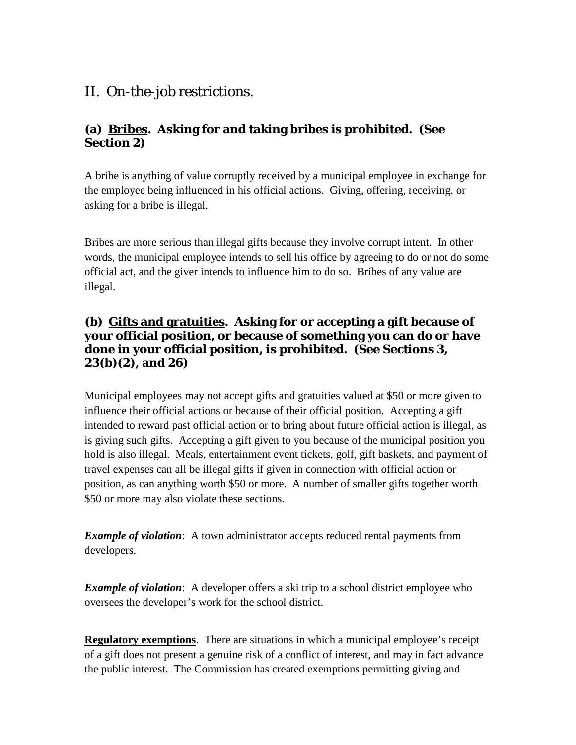# II. On-the-job restrictions.

## **(a) Bribes. Asking for and taking bribes is prohibited. (See Section 2)**

A bribe is anything of value corruptly received by a municipal employee in exchange for the employee being influenced in his official actions. Giving, offering, receiving, or asking for a bribe is illegal.

Bribes are more serious than illegal gifts because they involve corrupt intent. In other words, the municipal employee intends to sell his office by agreeing to do or not do some official act, and the giver intends to influence him to do so. Bribes of any value are illegal.

### **(b) Gifts and gratuities. Asking for or accepting a gift because of your official position, or because of something you can do or have done in your official position, is prohibited. (See Sections 3, 23(b)(2), and 26)**

Municipal employees may not accept gifts and gratuities valued at \$50 or more given to influence their official actions or because of their official position. Accepting a gift intended to reward past official action or to bring about future official action is illegal, as is giving such gifts. Accepting a gift given to you because of the municipal position you hold is also illegal. Meals, entertainment event tickets, golf, gift baskets, and payment of travel expenses can all be illegal gifts if given in connection with official action or position, as can anything worth \$50 or more. A number of smaller gifts together worth \$50 or more may also violate these sections.

*Example of violation*: A town administrator accepts reduced rental payments from developers.

*Example of violation*: A developer offers a ski trip to a school district employee who oversees the developer's work for the school district.

**Regulatory exemptions**. There are situations in which a municipal employee's receipt of a gift does not present a genuine risk of a conflict of interest, and may in fact advance the public interest. The Commission has created exemptions permitting giving and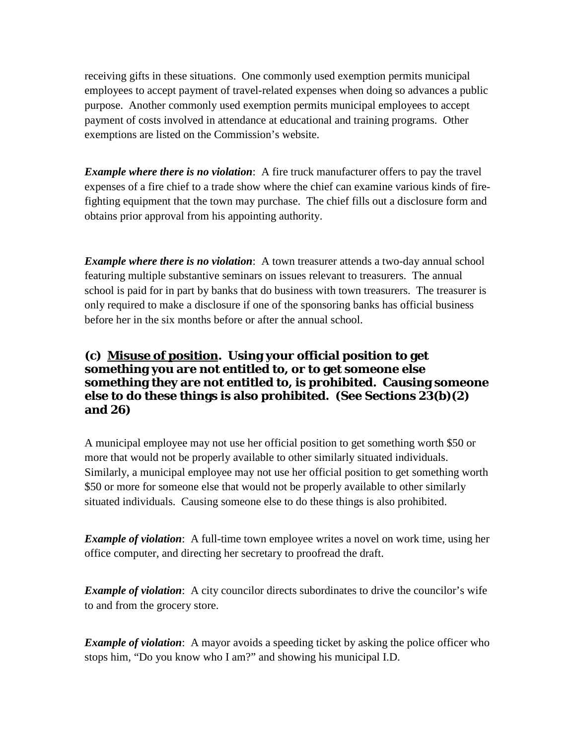receiving gifts in these situations. One commonly used exemption permits municipal employees to accept payment of travel-related expenses when doing so advances a public purpose. Another commonly used exemption permits municipal employees to accept payment of costs involved in attendance at educational and training programs. Other exemptions are listed on the Commission's website.

*Example where there is no violation*: A fire truck manufacturer offers to pay the travel expenses of a fire chief to a trade show where the chief can examine various kinds of firefighting equipment that the town may purchase. The chief fills out a disclosure form and obtains prior approval from his appointing authority.

*Example where there is no violation*: A town treasurer attends a two-day annual school featuring multiple substantive seminars on issues relevant to treasurers. The annual school is paid for in part by banks that do business with town treasurers. The treasurer is only required to make a disclosure if one of the sponsoring banks has official business before her in the six months before or after the annual school.

### **(c) Misuse of position. Using your official position to get something you are not entitled to, or to get someone else something they are not entitled to, is prohibited. Causing someone else to do these things is also prohibited. (See Sections 23(b)(2) and 26)**

A municipal employee may not use her official position to get something worth \$50 or more that would not be properly available to other similarly situated individuals. Similarly, a municipal employee may not use her official position to get something worth \$50 or more for someone else that would not be properly available to other similarly situated individuals. Causing someone else to do these things is also prohibited.

*Example of violation*: A full-time town employee writes a novel on work time, using her office computer, and directing her secretary to proofread the draft.

*Example of violation*: A city councilor directs subordinates to drive the councilor's wife to and from the grocery store.

*Example of violation*: A mayor avoids a speeding ticket by asking the police officer who stops him, "Do you know who I am?" and showing his municipal I.D.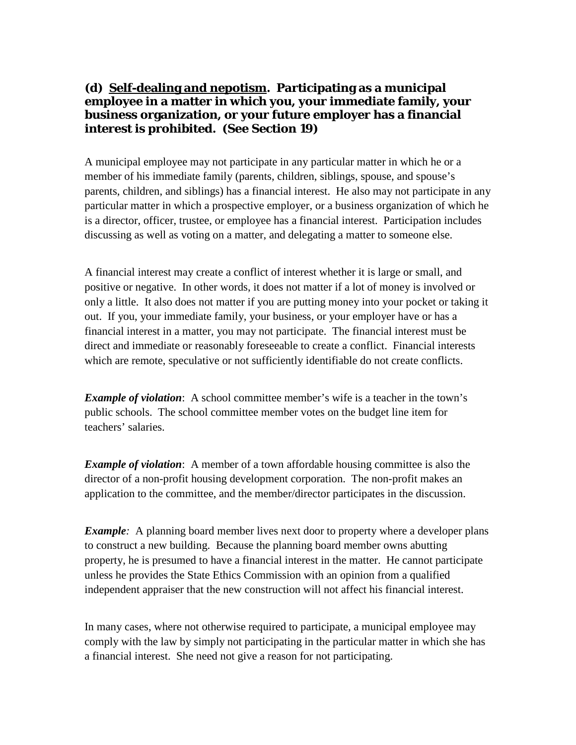#### **(d) Self-dealing and nepotism. Participating as a municipal employee in a matter in which you, your immediate family, your business organization, or your future employer has a financial interest is prohibited. (See Section 19)**

A municipal employee may not participate in any particular matter in which he or a member of his immediate family (parents, children, siblings, spouse, and spouse's parents, children, and siblings) has a financial interest. He also may not participate in any particular matter in which a prospective employer, or a business organization of which he is a director, officer, trustee, or employee has a financial interest. Participation includes discussing as well as voting on a matter, and delegating a matter to someone else.

A financial interest may create a conflict of interest whether it is large or small, and positive or negative. In other words, it does not matter if a lot of money is involved or only a little. It also does not matter if you are putting money into your pocket or taking it out. If you, your immediate family, your business, or your employer have or has a financial interest in a matter, you may not participate. The financial interest must be direct and immediate or reasonably foreseeable to create a conflict. Financial interests which are remote, speculative or not sufficiently identifiable do not create conflicts.

*Example of violation*: A school committee member's wife is a teacher in the town's public schools. The school committee member votes on the budget line item for teachers' salaries.

*Example of violation*: A member of a town affordable housing committee is also the director of a non-profit housing development corporation. The non-profit makes an application to the committee, and the member/director participates in the discussion.

*Example:* A planning board member lives next door to property where a developer plans to construct a new building. Because the planning board member owns abutting property, he is presumed to have a financial interest in the matter. He cannot participate unless he provides the State Ethics Commission with an opinion from a qualified independent appraiser that the new construction will not affect his financial interest.

In many cases, where not otherwise required to participate, a municipal employee may comply with the law by simply not participating in the particular matter in which she has a financial interest. She need not give a reason for not participating.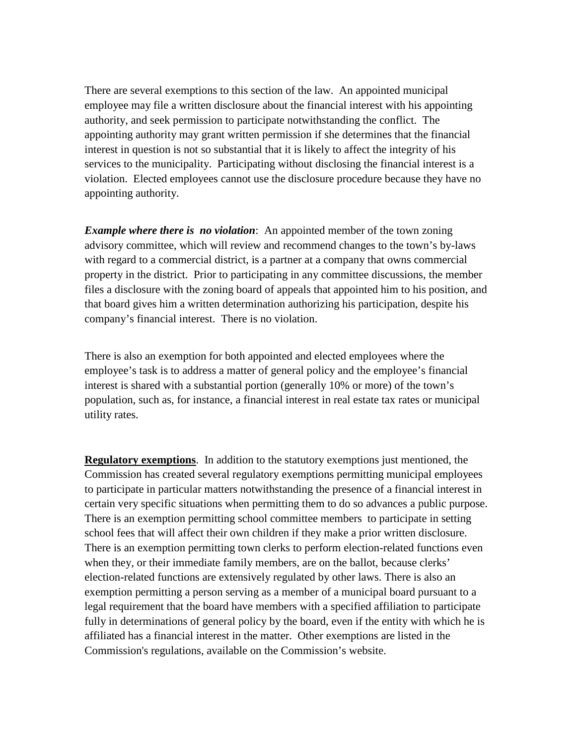There are several exemptions to this section of the law. An appointed municipal employee may file a written disclosure about the financial interest with his appointing authority, and seek permission to participate notwithstanding the conflict. The appointing authority may grant written permission if she determines that the financial interest in question is not so substantial that it is likely to affect the integrity of his services to the municipality. Participating without disclosing the financial interest is a violation. Elected employees cannot use the disclosure procedure because they have no appointing authority.

*Example where there is no violation*: An appointed member of the town zoning advisory committee, which will review and recommend changes to the town's by-laws with regard to a commercial district, is a partner at a company that owns commercial property in the district. Prior to participating in any committee discussions, the member files a disclosure with the zoning board of appeals that appointed him to his position, and that board gives him a written determination authorizing his participation, despite his company's financial interest. There is no violation.

There is also an exemption for both appointed and elected employees where the employee's task is to address a matter of general policy and the employee's financial interest is shared with a substantial portion (generally 10% or more) of the town's population, such as, for instance, a financial interest in real estate tax rates or municipal utility rates.

**Regulatory exemptions**. In addition to the statutory exemptions just mentioned, the Commission has created several regulatory exemptions permitting municipal employees to participate in particular matters notwithstanding the presence of a financial interest in certain very specific situations when permitting them to do so advances a public purpose. There is an exemption permitting school committee members to participate in setting school fees that will affect their own children if they make a prior written disclosure. There is an exemption permitting town clerks to perform election-related functions even when they, or their immediate family members, are on the ballot, because clerks' election-related functions are extensively regulated by other laws. There is also an exemption permitting a person serving as a member of a municipal board pursuant to a legal requirement that the board have members with a specified affiliation to participate fully in determinations of general policy by the board, even if the entity with which he is affiliated has a financial interest in the matter. Other exemptions are listed in the Commission's regulations, available on the Commission's website.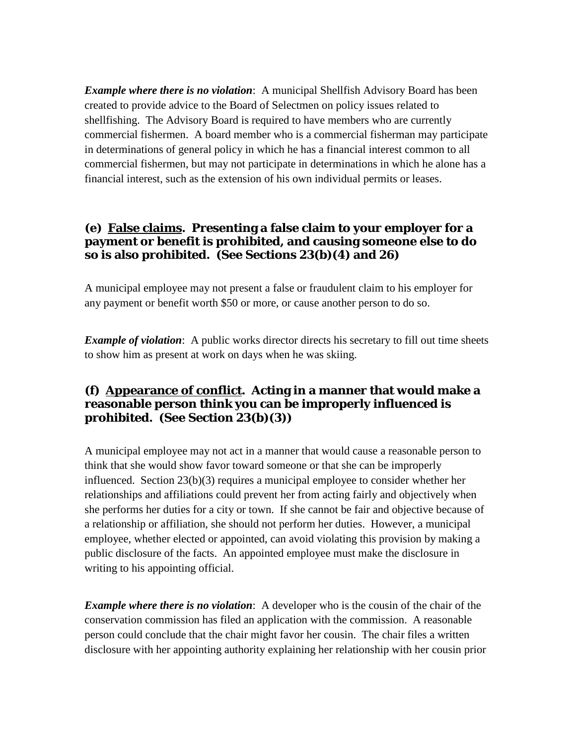*Example where there is no violation*: A municipal Shellfish Advisory Board has been created to provide advice to the Board of Selectmen on policy issues related to shellfishing. The Advisory Board is required to have members who are currently commercial fishermen. A board member who is a commercial fisherman may participate in determinations of general policy in which he has a financial interest common to all commercial fishermen, but may not participate in determinations in which he alone has a financial interest, such as the extension of his own individual permits or leases.

#### **(e) False claims. Presenting a false claim to your employer for a payment or benefit is prohibited, and causing someone else to do so is also prohibited. (See Sections 23(b)(4) and 26)**

A municipal employee may not present a false or fraudulent claim to his employer for any payment or benefit worth \$50 or more, or cause another person to do so.

*Example of violation*: A public works director directs his secretary to fill out time sheets to show him as present at work on days when he was skiing.

### **(f) Appearance of conflict. Acting in a manner that would make a reasonable person think you can be improperly influenced is prohibited. (See Section 23(b)(3))**

A municipal employee may not act in a manner that would cause a reasonable person to think that she would show favor toward someone or that she can be improperly influenced. Section 23(b)(3) requires a municipal employee to consider whether her relationships and affiliations could prevent her from acting fairly and objectively when she performs her duties for a city or town. If she cannot be fair and objective because of a relationship or affiliation, she should not perform her duties. However, a municipal employee, whether elected or appointed, can avoid violating this provision by making a public disclosure of the facts. An appointed employee must make the disclosure in writing to his appointing official.

*Example where there is no violation*: A developer who is the cousin of the chair of the conservation commission has filed an application with the commission. A reasonable person could conclude that the chair might favor her cousin. The chair files a written disclosure with her appointing authority explaining her relationship with her cousin prior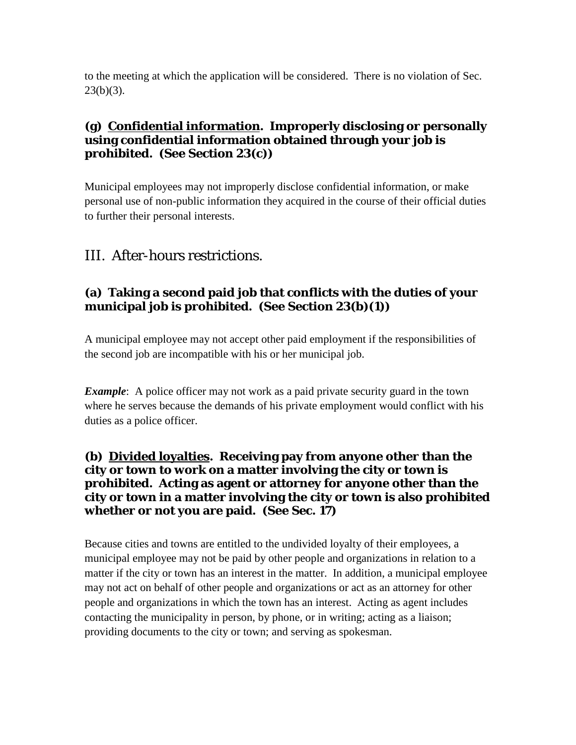to the meeting at which the application will be considered. There is no violation of Sec.  $23(b)(3)$ .

#### **(g) Confidential information. Improperly disclosing or personally using confidential information obtained through your job is prohibited. (See Section 23(c))**

Municipal employees may not improperly disclose confidential information, or make personal use of non-public information they acquired in the course of their official duties to further their personal interests.

# III. After-hours restrictions.

#### **(a) Taking a second paid job that conflicts with the duties of your municipal job is prohibited. (See Section 23(b)(1))**

A municipal employee may not accept other paid employment if the responsibilities of the second job are incompatible with his or her municipal job.

*Example*: A police officer may not work as a paid private security guard in the town where he serves because the demands of his private employment would conflict with his duties as a police officer.

#### **(b) Divided loyalties. Receiving pay from anyone other than the city or town to work on a matter involving the city or town is prohibited. Acting as agent or attorney for anyone other than the city or town in a matter involving the city or town is also prohibited whether or not you are paid. (See Sec. 17)**

Because cities and towns are entitled to the undivided loyalty of their employees, a municipal employee may not be paid by other people and organizations in relation to a matter if the city or town has an interest in the matter. In addition, a municipal employee may not act on behalf of other people and organizations or act as an attorney for other people and organizations in which the town has an interest. Acting as agent includes contacting the municipality in person, by phone, or in writing; acting as a liaison; providing documents to the city or town; and serving as spokesman.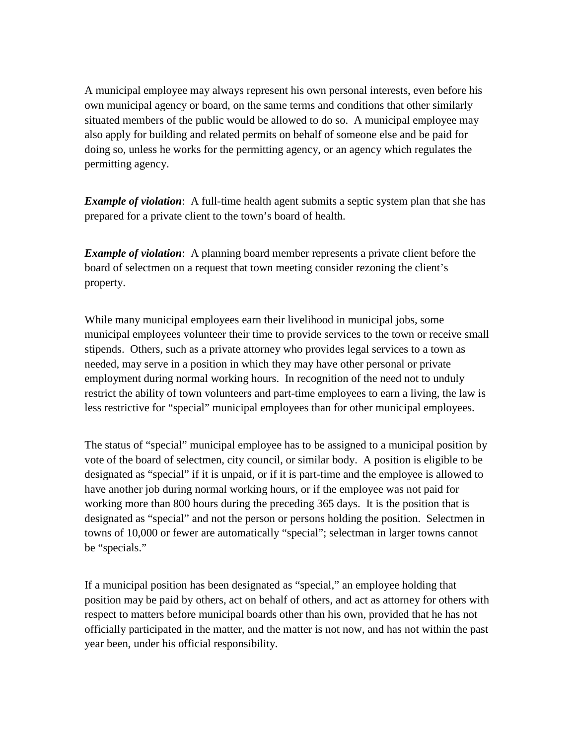A municipal employee may always represent his own personal interests, even before his own municipal agency or board, on the same terms and conditions that other similarly situated members of the public would be allowed to do so. A municipal employee may also apply for building and related permits on behalf of someone else and be paid for doing so, unless he works for the permitting agency, or an agency which regulates the permitting agency.

*Example of violation*: A full-time health agent submits a septic system plan that she has prepared for a private client to the town's board of health.

*Example of violation*: A planning board member represents a private client before the board of selectmen on a request that town meeting consider rezoning the client's property.

While many municipal employees earn their livelihood in municipal jobs, some municipal employees volunteer their time to provide services to the town or receive small stipends. Others, such as a private attorney who provides legal services to a town as needed, may serve in a position in which they may have other personal or private employment during normal working hours. In recognition of the need not to unduly restrict the ability of town volunteers and part-time employees to earn a living, the law is less restrictive for "special" municipal employees than for other municipal employees.

The status of "special" municipal employee has to be assigned to a municipal position by vote of the board of selectmen, city council, or similar body. A position is eligible to be designated as "special" if it is unpaid, or if it is part-time and the employee is allowed to have another job during normal working hours, or if the employee was not paid for working more than 800 hours during the preceding 365 days. It is the position that is designated as "special" and not the person or persons holding the position. Selectmen in towns of 10,000 or fewer are automatically "special"; selectman in larger towns cannot be "specials."

If a municipal position has been designated as "special," an employee holding that position may be paid by others, act on behalf of others, and act as attorney for others with respect to matters before municipal boards other than his own, provided that he has not officially participated in the matter, and the matter is not now, and has not within the past year been, under his official responsibility.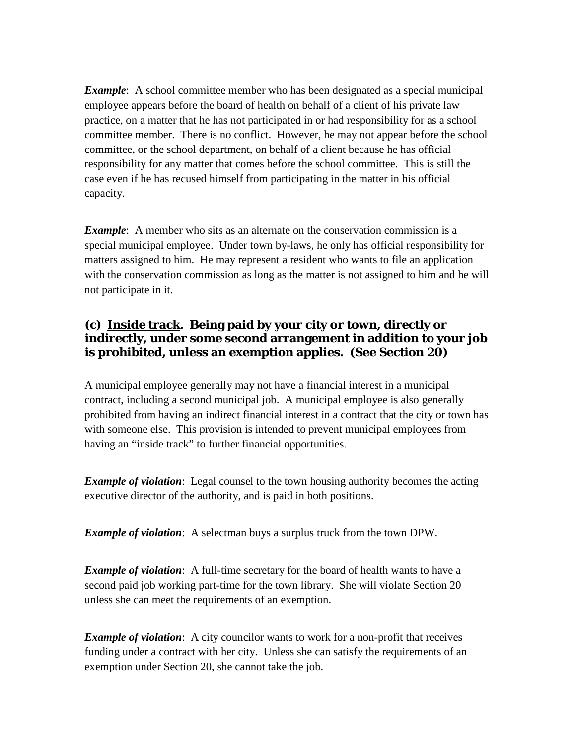*Example*: A school committee member who has been designated as a special municipal employee appears before the board of health on behalf of a client of his private law practice, on a matter that he has not participated in or had responsibility for as a school committee member. There is no conflict. However, he may not appear before the school committee, or the school department, on behalf of a client because he has official responsibility for any matter that comes before the school committee. This is still the case even if he has recused himself from participating in the matter in his official capacity.

*Example*: A member who sits as an alternate on the conservation commission is a special municipal employee. Under town by-laws, he only has official responsibility for matters assigned to him. He may represent a resident who wants to file an application with the conservation commission as long as the matter is not assigned to him and he will not participate in it.

#### **(c) Inside track. Being paid by your city or town, directly or indirectly, under some second arrangement in addition to your job is prohibited, unless an exemption applies. (See Section 20)**

A municipal employee generally may not have a financial interest in a municipal contract, including a second municipal job. A municipal employee is also generally prohibited from having an indirect financial interest in a contract that the city or town has with someone else. This provision is intended to prevent municipal employees from having an "inside track" to further financial opportunities.

*Example of violation*: Legal counsel to the town housing authority becomes the acting executive director of the authority, and is paid in both positions.

*Example of violation*: A selectman buys a surplus truck from the town DPW.

*Example of violation*: A full-time secretary for the board of health wants to have a second paid job working part-time for the town library. She will violate Section 20 unless she can meet the requirements of an exemption.

*Example of violation*: A city councilor wants to work for a non-profit that receives funding under a contract with her city. Unless she can satisfy the requirements of an exemption under Section 20, she cannot take the job.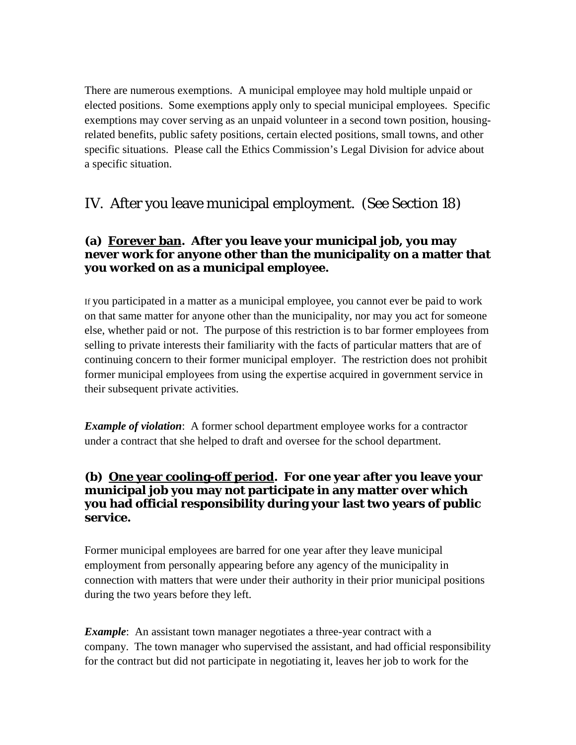There are numerous exemptions. A municipal employee may hold multiple unpaid or elected positions. Some exemptions apply only to special municipal employees. Specific exemptions may cover serving as an unpaid volunteer in a second town position, housingrelated benefits, public safety positions, certain elected positions, small towns, and other specific situations. Please call the Ethics Commission's Legal Division for advice about a specific situation.

# IV. After you leave municipal employment. (See Section 18)

### **(a) Forever ban. After you leave your municipal job, you may never work for anyone other than the municipality on a matter that you worked on as a municipal employee.**

If you participated in a matter as a municipal employee, you cannot ever be paid to work on that same matter for anyone other than the municipality, nor may you act for someone else, whether paid or not. The purpose of this restriction is to bar former employees from selling to private interests their familiarity with the facts of particular matters that are of continuing concern to their former municipal employer. The restriction does not prohibit former municipal employees from using the expertise acquired in government service in their subsequent private activities.

*Example of violation*: A former school department employee works for a contractor under a contract that she helped to draft and oversee for the school department.

#### **(b) One year cooling-off period. For one year after you leave your municipal job you may not participate in any matter over which you had official responsibility during your last two years of public service.**

Former municipal employees are barred for one year after they leave municipal employment from personally appearing before any agency of the municipality in connection with matters that were under their authority in their prior municipal positions during the two years before they left.

*Example*: An assistant town manager negotiates a three-year contract with a company. The town manager who supervised the assistant, and had official responsibility for the contract but did not participate in negotiating it, leaves her job to work for the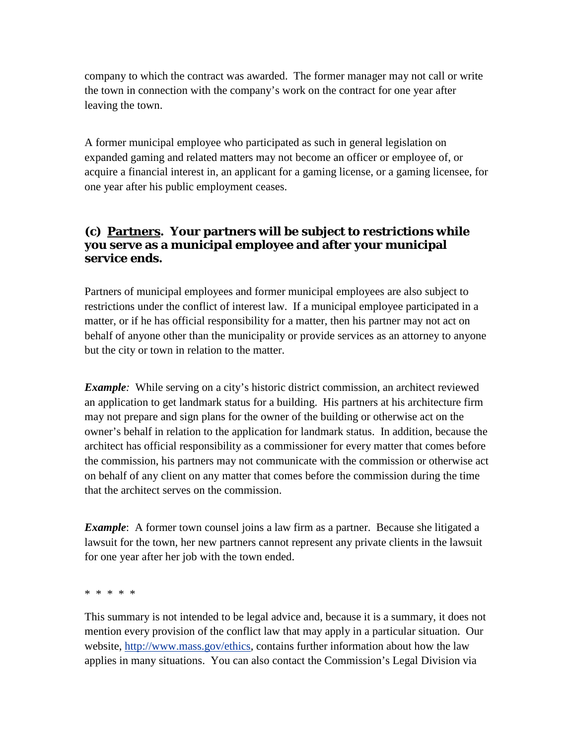company to which the contract was awarded. The former manager may not call or write the town in connection with the company's work on the contract for one year after leaving the town.

A former municipal employee who participated as such in general legislation on expanded gaming and related matters may not become an officer or employee of, or acquire a financial interest in, an applicant for a gaming license, or a gaming licensee, for one year after his public employment ceases.

#### **(c) Partners. Your partners will be subject to restrictions while you serve as a municipal employee and after your municipal service ends.**

Partners of municipal employees and former municipal employees are also subject to restrictions under the conflict of interest law. If a municipal employee participated in a matter, or if he has official responsibility for a matter, then his partner may not act on behalf of anyone other than the municipality or provide services as an attorney to anyone but the city or town in relation to the matter.

*Example:* While serving on a city's historic district commission, an architect reviewed an application to get landmark status for a building. His partners at his architecture firm may not prepare and sign plans for the owner of the building or otherwise act on the owner's behalf in relation to the application for landmark status. In addition, because the architect has official responsibility as a commissioner for every matter that comes before the commission, his partners may not communicate with the commission or otherwise act on behalf of any client on any matter that comes before the commission during the time that the architect serves on the commission.

*Example*: A former town counsel joins a law firm as a partner. Because she litigated a lawsuit for the town, her new partners cannot represent any private clients in the lawsuit for one year after her job with the town ended.

\* \* \* \* \*

This summary is not intended to be legal advice and, because it is a summary, it does not mention every provision of the conflict law that may apply in a particular situation. Our website, [http://www.mass.gov/ethics,](http://www.mass.gov/ethics) contains further information about how the law applies in many situations. You can also contact the Commission's Legal Division via